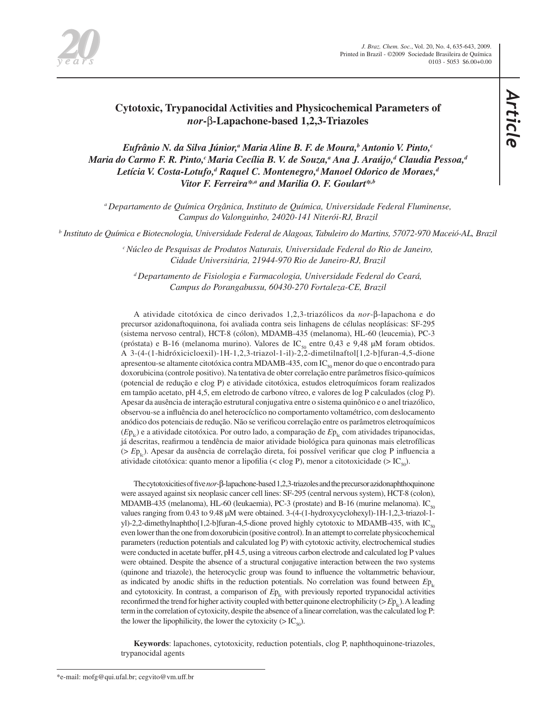

# **Cytotoxic, Trypanocidal Activities and Physicochemical Parameters of**  *nor***-**β**-Lapachone-based 1,2,3-Triazoles**

 $E$ ufrânio N. da Silva Júnior,<sup>a</sup> Maria Aline B. F. de Moura,<sup>b</sup> Antonio V. Pinto,<sup>c</sup> Maria do Carmo F. R. Pinto,<sup>c</sup> Maria Cecília B. V. de Souza,<sup>a</sup> Ana J. Araújo,<sup>a</sup> Claudia Pessoa,<sup>a</sup> Letícia V. Costa-Lotufo,<sup>a</sup> Raquel C. Montenegro,<sup>a</sup> Manoel Odorico de Moraes,<sup>a</sup> *Vitor F. Ferreira\*,a and Marilia O. F. Goulart\*,b*

*a Departamento de Química Orgânica, Instituto de Química, Universidade Federal Fluminense, Campus do Valonguinho, 24020-141 Niterói-RJ, Brazil*

*b Instituto de Química e Biotecnologia, Universidade Federal de Alagoas, Tabuleiro do Martins, 57072-970 Maceió-AL, Brazil*

*c Núcleo de Pesquisas de Produtos Naturais, Universidade Federal do Rio de Janeiro, Cidade Universitária, 21944-970 Rio de Janeiro-RJ, Brazil*

*d Departamento de Fisiologia e Farmacologia, Universidade Federal do Ceará, Campus do Porangabussu, 60430-270 Fortaleza-CE, Brazil*

A atividade citotóxica de cinco derivados 1,2,3-triazólicos da *nor*-β-lapachona e do precursor azidonaftoquinona, foi avaliada contra seis linhagens de células neoplásicas: SF-295 (sistema nervoso central), HCT-8 (cólon), MDAMB-435 (melanoma), HL-60 (leucemia), PC-3 (próstata) e B-16 (melanoma murino). Valores de IC<sub>50</sub> entre 0,43 e 9,48 μM foram obtidos. A 3-(4-(1-hidróxicicloexil)-1H-1,2,3-triazol-1-il)-2,2-dimetilnaftol[1,2-b]furan-4,5-dione apresentou-se altamente citotóxica contra MDAMB-435, com  $IC_{\text{so}}$  menor do que o encontrado para doxorubicina (controle positivo). Na tentativa de obter correlação entre parâmetros físico-químicos (potencial de redução e clog P) e atividade citotóxica, estudos eletroquímicos foram realizados em tampão acetato, pH 4,5, em eletrodo de carbono vítreo, e valores de log P calculados (clog P). Apesar da ausência de interação estrutural conjugativa entre o sistema quinônico e o anel triazólico, observou-se a influência do anel heterocíclico no comportamento voltamétrico, com deslocamento anódico dos potenciais de redução. Não se verificou correlação entre os parâmetros eletroquímicos  $(E_{p_i})$  e a atividade citotóxica. Por outro lado, a comparação de  $E_{p_i}$  com atividades tripanocidas, já descritas, reafirmou a tendência de maior atividade biológica para quinonas mais eletrofílicas (> *E*p<sub>t<sub>c</sub></sub>). Apesar da ausência de correlação direta, foi possível verificar que clog P influencia a atividade citotóxica: quanto menor a lipofilia (< clog P), menor a citotoxicidade (>  $IC_{\text{so}}$ ).

The cytotoxicities of five *nor*-β-lapachone-based 1,2,3-triazoles and the precursor azidonaphthoquinone were assayed against six neoplasic cancer cell lines: SF-295 (central nervous system), HCT-8 (colon), MDAMB-435 (melanoma), HL-60 (leukaemia), PC-3 (prostate) and B-16 (murine melanoma). IC<sub>50</sub> values ranging from 0.43 to 9.48 μM were obtained. 3-(4-(1-hydroxycyclohexyl)-1H-1,2,3-triazol-1 yl)-2,2-dimethylnaphtho[1,2-b]furan-4,5-dione proved highly cytotoxic to MDAMB-435, with IC<sub>50</sub> even lower than the one from doxorubicin (positive control). In an attempt to correlate physicochemical parameters (reduction potentials and calculated log P) with cytotoxic activity, electrochemical studies were conducted in acetate buffer, pH 4.5, using a vitreous carbon electrode and calculated log P values were obtained. Despite the absence of a structural conjugative interaction between the two systems (quinone and triazole), the heterocyclic group was found to influence the voltammetric behaviour, as indicated by anodic shifts in the reduction potentials. No correlation was found between  $Ep_{\nu}$ and cytotoxicity. In contrast, a comparison of  $Ep_{1c}$  with previously reported trypanocidal activities reconfirmed the trend for higher activity coupled with better quinone electrophilicity ( $>E_{P_{1c}}$ ). A leading term in the correlation of cytoxicity, despite the absence of a linear correlation, was the calculated log P: the lower the lipophilicity, the lower the cytoxicity ( $> IC<sub>50</sub>$ ).

**Keywords**: lapachones, cytotoxicity, reduction potentials, clog P, naphthoquinone-triazoles, trypanocidal agents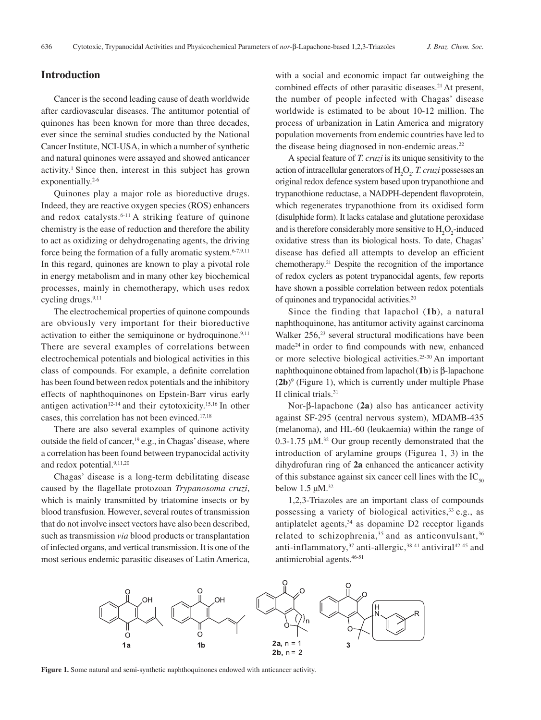# **Introduction**

Cancer is the second leading cause of death worldwide after cardiovascular diseases. The antitumor potential of quinones has been known for more than three decades, ever since the seminal studies conducted by the National Cancer Institute, NCI-USA, in which a number of synthetic and natural quinones were assayed and showed anticancer activity.<sup>1</sup> Since then, interest in this subject has grown exponentially.<sup>2-6</sup>

Quinones play a major role as bioreductive drugs. Indeed, they are reactive oxygen species (ROS) enhancers and redox catalysts.<sup>6-11</sup> A striking feature of quinone chemistry is the ease of reduction and therefore the ability to act as oxidizing or dehydrogenating agents, the driving force being the formation of a fully aromatic system. $6-7,9,11$ In this regard, quinones are known to play a pivotal role in energy metabolism and in many other key biochemical processes, mainly in chemotherapy, which uses redox cycling drugs.<sup>9,11</sup>

The electrochemical properties of quinone compounds are obviously very important for their bioreductive activation to either the semiquinone or hydroquinone. $9,11$ There are several examples of correlations between electrochemical potentials and biological activities in this class of compounds. For example, a definite correlation has been found between redox potentials and the inhibitory effects of naphthoquinones on Epstein-Barr virus early antigen activation<sup>12-14</sup> and their cytotoxicity.<sup>15,16</sup> In other cases, this correlation has not been evinced.17,18

There are also several examples of quinone activity outside the field of cancer,  $19$  e.g., in Chagas' disease, where a correlation has been found between trypanocidal activity and redox potential.<sup>9,11,20</sup>

Chagas' disease is a long-term debilitating disease caused by the flagellate protozoan *Trypanosoma cruzi*, which is mainly transmitted by triatomine insects or by blood transfusion. However, several routes of transmission that do not involve insect vectors have also been described, such as transmission *via* blood products or transplantation of infected organs, and vertical transmission. It is one of the most serious endemic parasitic diseases of Latin America, with a social and economic impact far outweighing the combined effects of other parasitic diseases.<sup>21</sup> At present, the number of people infected with Chagas' disease worldwide is estimated to be about 10-12 million. The process of urbanization in Latin America and migratory population movements from endemic countries have led to the disease being diagnosed in non-endemic areas.<sup>22</sup>

A special feature of *T. cruzi* is its unique sensitivity to the action of intracellular generators of H<sub>2</sub>O<sub>2</sub>. *T. cruzi* possesses an original redox defence system based upon trypanothione and trypanothione reductase, a NADPH-dependent flavoprotein, which regenerates trypanothione from its oxidised form (disulphide form). It lacks catalase and glutatione peroxidase and is therefore considerably more sensitive to  $H_2O_2$ -induced oxidative stress than its biological hosts. To date, Chagas' disease has defied all attempts to develop an efficient chemotherapy.21 Despite the recognition of the importance of redox cyclers as potent trypanocidal agents, few reports have shown a possible correlation between redox potentials of quinones and trypanocidal activities.20

Since the finding that lapachol (**1b**), a natural naphthoquinone, has antitumor activity against carcinoma Walker 256,<sup>23</sup> several structural modifications have been made24 in order to find compounds with new, enhanced or more selective biological activities.25-30 An important naphthoquinone obtained from lapachol(**1b**) is β-lapachone  $(2b)$ <sup>9</sup> (Figure 1), which is currently under multiple Phase II clinical trials.31

Nor-β-lapachone (**2a**) also has anticancer activity against SF-295 (central nervous system), MDAMB-435 (melanoma), and HL-60 (leukaemia) within the range of 0.3-1.75 µM.32 Our group recently demonstrated that the introduction of arylamine groups (Figurea 1, 3) in the dihydrofuran ring of **2a** enhanced the anticancer activity of this substance against six cancer cell lines with the  $IC_{50}$ below  $1.5 \mu M$ .<sup>32</sup>

1,2,3-Triazoles are an important class of compounds possessing a variety of biological activities,  $33$  e.g., as antiplatelet agents, $34$  as dopamine D2 receptor ligands related to schizophrenia,<sup>35</sup> and as anticonvulsant,<sup>36</sup> anti-inflammatory,<sup>37</sup> anti-allergic,<sup>38-41</sup> antiviral<sup>42-45</sup> and antimicrobial agents.46-51



**Figure 1.** Some natural and semi-synthetic naphthoquinones endowed with anticancer activity.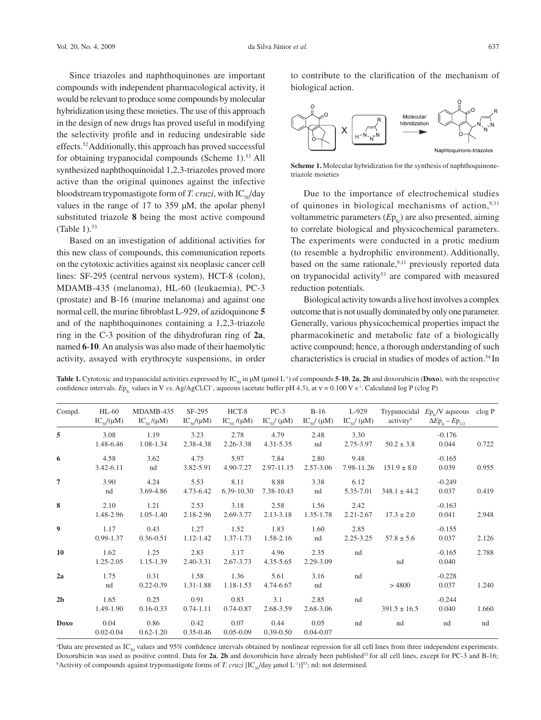Since triazoles and naphthoquinones are important compounds with independent pharmacological activity, it would be relevant to produce some compounds by molecular hybridization using these moieties. The use of this approach in the design of new drugs has proved useful in modifying the selectivity profile and in reducing undesirable side effects.52 Additionally, this approach has proved successful for obtaining trypanocidal compounds (Scheme 1).<sup>53</sup> All synthesized naphthoquinoidal 1,2,3-triazoles proved more active than the original quinones against the infective bloodstream trypomastigote form of *T. cruzi*, with  $IC_{50}/day$ values in the range of 17 to 359 µM, the apolar phenyl substituted triazole **8** being the most active compound (Table 1). $53$ 

Based on an investigation of additional activities for this new class of compounds, this communication reports on the cytotoxic activities against six neoplasic cancer cell lines: SF-295 (central nervous system), HCT-8 (colon), MDAMB-435 (melanoma), HL-60 (leukaemia), PC-3 (prostate) and B-16 (murine melanoma) and against one normal cell, the murine fibroblast L-929, of azidoquinone **5** and of the naphthoquinones containing a 1,2,3-triazole ring in the C-3 position of the dihydrofuran ring of **2a**, named **6**-**10**. An analysis was also made of their haemolytic activity, assayed with erythrocyte suspensions, in order to contribute to the clarification of the mechanism of biological action.



**Scheme 1.** Molecular hybridization for the synthesis of naphthoquinonetriazole moieties

Due to the importance of electrochemical studies of quinones in biological mechanisms of action, $9,11$ voltammetric parameters  $(E_{P_{L}})$  are also presented, aiming to correlate biological and physicochemical parameters. The experiments were conducted in a protic medium (to resemble a hydrophilic environment). Additionally, based on the same rationale,  $9,11$  previously reported data on trypanocidal activity<sup>53</sup> are compared with measured reduction potentials.

Biological activity towards a live host involves a complex outcome that is not usually dominated by only one parameter. Generally, various physicochemical properties impact the pharmacokinetic and metabolic fate of a biologically active compound; hence, a thorough understanding of such characteristics is crucial in studies of modes of action.54 In

**Table 1.** Cytotoxic and trypanocidal activities expressed by IC<sub>50</sub> in μM (μmol L<sup>-1</sup>) of compounds **5-10**, **2a**, **2b** and doxorubicin (**Doxo**), with the respective confidence intervals. *E*p<sub>Ic</sub> values in V *vs.* Ag/AgCl,Cl<sup>−</sup>, aqueous (acetate buffer pH 4.5), at ν = 0.100 V s<sup>-1</sup>. Calculated log P (clog P)

| Compd.           | $HL-60$<br>$IC_{50}/(\mu M)$ | MDAMB-435<br>$IC_{50}/(\mu M)$ | SF-295<br>$IC_{50}/(\mu M)$ | $HCT-8$<br>$IC_{so}/(\mu M)$ | $PC-3$<br>$IC_{50}/(\mu M)$ | $B-16$<br>$IC_{50}/(\mu M)$ | L-929<br>$\text{IC}_{\scriptscriptstyle{50}}/(\mu\text{M})$ | activity <sup>b</sup> | Trypanocidal $Ep_{\rm lc}/V$ aqueous<br>$\Delta Ep_{1c} - Ep_{1/2}$ | $c \log P$ |
|------------------|------------------------------|--------------------------------|-----------------------------|------------------------------|-----------------------------|-----------------------------|-------------------------------------------------------------|-----------------------|---------------------------------------------------------------------|------------|
| 5                | 3.08<br>1.48-6.46            | 1.19<br>1.08-1.34              | 3.23<br>2.38-4.38           | 2.78<br>2.26-3.38            | 4.79<br>4.31-5.35           | 2.48<br>nd                  | 3.30<br>2.75-3.97                                           | $50.2 \pm 3.8$        | $-0.176$<br>0.044                                                   | 0.722      |
| 6                | 4.58<br>3.42-6.11            | 3.62<br>nd                     | 4.75<br>3.82-5.91           | 5.97<br>4.90-7.27            | 7.84<br>2.97-11.15          | 2.80<br>2.57-3.06           | 9.48<br>7.98-11.26                                          | $151.9 \pm 8.0$       | $-0.165$<br>0.039                                                   | 0.955      |
| 7                | 3.90<br>nd                   | 4.24<br>3.69-4.86              | 5.53<br>4.73-6.42           | 8.11<br>6.39-10.30           | 8.88<br>7.38-10.43          | 3.38<br>nd                  | 6.12<br>5.35-7.01                                           | $348.1 \pm 44.2$      | $-0.249$<br>0.037                                                   | 0.419      |
| 8                | 2.10<br>1.48-2.96            | 1.21<br>$1.05 - 1.40$          | 2.53<br>2.18-2.96           | 3.18<br>2.69-3.77            | 2.58<br>2.13-3.18           | 1.56<br>1.35-1.78           | 2.42<br>$2.21 - 2.67$                                       | $17.3 \pm 2.0$        | $-0.163$<br>0.041                                                   | 2.948      |
| $\boldsymbol{9}$ | 1.17<br>0.99-1.37            | 0.43<br>$0.36 - 0.51$          | 1.27<br>1.12-1.42           | 1.52<br>1.37-1.73            | 1.83<br>1.58-2.16           | 1.60<br>nd                  | 2.85<br>$2.25 - 3.25$                                       | $57.8 \pm 5.6$        | $-0.155$<br>0.037                                                   | 2.126      |
| 10               | 1.62<br>1.25-2.05            | 1.25<br>1.15-1.39              | 2.83<br>2.40-3.31           | 3.17<br>2.67-3.73            | 4.96<br>4.35-5.65           | 2.35<br>2.29-3.09           | nd                                                          | nd                    | $-0.165$<br>0.040                                                   | 2.788      |
| 2a               | 1.75<br>nd                   | 0.31<br>$0.22 - 0.39$          | 1.58<br>1.31-1.88           | 1.36<br>1.18-1.53            | 5.61<br>4.74-6.67           | 3.16<br>nd                  | nd                                                          | >4800                 | $-0.228$<br>0.037                                                   | 1.240      |
| 2 <sub>b</sub>   | 1.65<br>1.49-1.90            | 0.25<br>$0.16 - 0.33$          | 0.91<br>$0.74 - 1.11$       | 0.83<br>$0.74 - 0.87$        | 3.1<br>2.68-3.59            | 2.85<br>2.68-3.06           | nd                                                          | $391.5 \pm 16.5$      | $-0.244$<br>0.040                                                   | 1.660      |
| <b>Doxo</b>      | 0.04<br>$0.02 - 0.04$        | 0.86<br>$0.62 - 1.20$          | 0.42<br>$0.35 - 0.46$       | 0.07<br>$0.05 - 0.09$        | 0.44<br>$0.39 - 0.50$       | 0.05<br>$0.04 - 0.07$       | nd                                                          | nd                    | nd                                                                  | nd         |

 $P$ ata are presented as IC<sub>50</sub> values and 95% confidence intervals obtained by nonlinear regression for all cell lines from three independent experiments. Doxorubicin was used as positive control. Data for 2a, 2b and doxorubicin have already been published<sup>32</sup> for all cell lines, except for PC-3 and B-16; <sup>b</sup>Activity of compounds against trypomastigote forms of *T. cruzi* [IC<sub>50</sub>/day µmol L<sup>-1</sup>)]<sup>53</sup>; nd: not determined.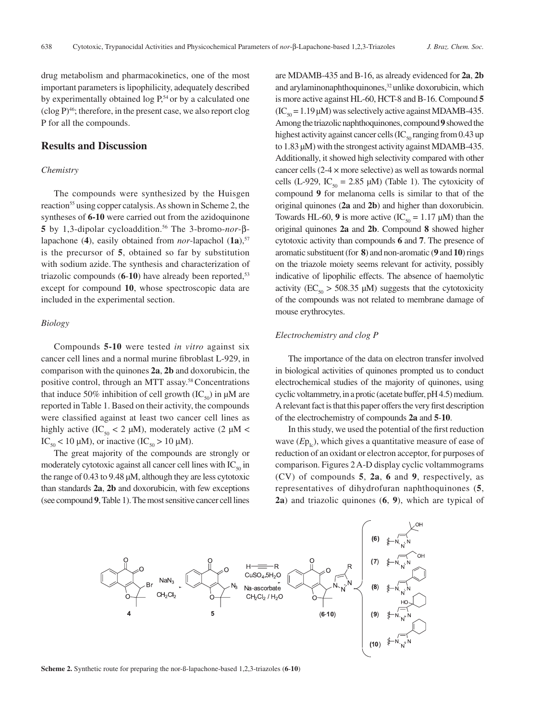drug metabolism and pharmacokinetics, one of the most important parameters is lipophilicity, adequately described by experimentally obtained  $\log P$ ,<sup>54</sup> or by a calculated one  $(clog P)^{46}$ ; therefore, in the present case, we also report clog P for all the compounds.

## **Results and Discussion**

#### *Chemistry*

The compounds were synthesized by the Huisgen reaction<sup>55</sup> using copper catalysis. As shown in Scheme 2, the syntheses of **6-10** were carried out from the azidoquinone **5** by 1,3-dipolar cycloaddition.56 The 3-bromo-*nor*-βlapachone (4), easily obtained from *nor*-lapachol  $(1a)$ , <sup>57</sup> is the precursor of **5**, obtained so far by substitution with sodium azide. The synthesis and characterization of triazolic compounds (6-10) have already been reported,<sup>53</sup> except for compound **10**, whose spectroscopic data are included in the experimental section.

#### *Biology*

Compounds **5-10** were tested *in vitro* against six cancer cell lines and a normal murine fibroblast L-929, in comparison with the quinones **2a**, **2b** and doxorubicin, the positive control, through an MTT assay.<sup>58</sup> Concentrations that induce 50% inhibition of cell growth  $(IC_{50})$  in  $\mu$ M are reported in Table 1. Based on their activity, the compounds were classified against at least two cancer cell lines as highly active (IC<sub>50</sub> < 2 µM), moderately active (2 µM < IC<sub>50</sub> < 10  $\mu$ M), or inactive (IC<sub>50</sub> > 10  $\mu$ M).

The great majority of the compounds are strongly or moderately cytotoxic against all cancer cell lines with  $IC_{50}$  in the range of 0.43 to 9.48 μM, although they are less cytotoxic than standards **2a**, **2b** and doxorubicin, with few exceptions (see compound **9**, Table 1). The most sensitive cancer cell lines

are MDAMB-435 and B-16, as already evidenced for **2a**, **2b** and arylaminonaphthoquinones,<sup>32</sup> unlike doxorubicin, which is more active against HL-60, HCT-8 and B-16. Compound **5**  $(IC<sub>50</sub> = 1.19 \mu M)$  was selectively active against MDAMB-435. Among the triazolic naphthoquinones, compound **9** showed the highest activity against cancer cells (IC<sub>50</sub> ranging from 0.43 up to 1.83 μM) with the strongest activity against MDAMB-435. Additionally, it showed high selectivity compared with other cancer cells (2-4 × more selective) as well as towards normal cells (L-929, IC<sub>50</sub> = 2.85 μM) (Table 1). The cytoxicity of compound **9** for melanoma cells is similar to that of the original quinones (**2a** and **2b**) and higher than doxorubicin. Towards HL-60, 9 is more active  $(IC_{50} = 1.17 \mu M)$  than the original quinones **2a** and **2b**. Compound **8** showed higher cytotoxic activity than compounds **6** and **7**. The presence of aromatic substituent (for **8**) and non-aromatic (**9** and **10**) rings on the triazole moiety seems relevant for activity, possibly indicative of lipophilic effects. The absence of haemolytic activity ( $EC_{50}$  > 508.35 µM) suggests that the cytotoxicity of the compounds was not related to membrane damage of mouse erythrocytes.

#### *Electrochemistry and clog P*

The importance of the data on electron transfer involved in biological activities of quinones prompted us to conduct electrochemical studies of the majority of quinones, using cyclic voltammetry, in a protic (acetate buffer, pH 4.5) medium. A relevant fact is that this paper offers the very first description of the electrochemistry of compounds **2a** and **5**-**10**.

In this study, we used the potential of the first reduction wave  $(E_{\text{P}_k})$ , which gives a quantitative measure of ease of reduction of an oxidant or electron acceptor, for purposes of comparison. Figures 2 A-D display cyclic voltammograms (CV) of compounds **5**, **2a**, **6** and **9**, respectively, as representatives of dihydrofuran naphthoquinones (**5**, **2a**) and triazolic quinones (**6**, **9**), which are typical of



**Scheme 2.** Synthetic route for preparing the nor-ß-lapachone-based 1,2,3-triazoles (**6**-**10**)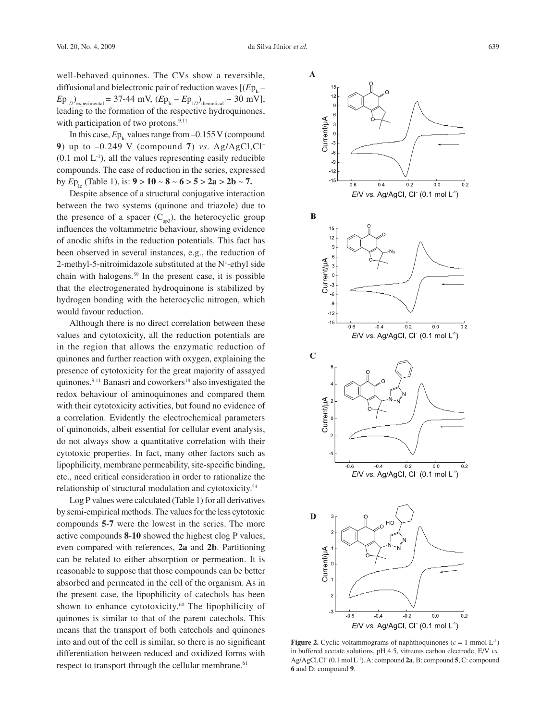well-behaved quinones. The CVs show a reversible, diffusional and bielectronic pair of reduction waves  $[(Ep_{1}]$  $Ep_{1/2}$ <sub>experimental</sub> = 37-44 mV,  $(Ep_{1c} - Ep_{1/2})$ <sub>theoretical</sub> ~ 30 mV], leading to the formation of the respective hydroquinones, with participation of two protons. $9,11$ 

In this case,  $Ep_{\text{L}}$  values range from  $-0.155$  V (compound **9**) up to –0.249 V (compound **7**) *vs.* Ag/AgCl,Cl–  $(0.1 \text{ mol } L^{-1})$ , all the values representing easily reducible compounds. The ease of reduction in the series, expressed by  $E_{P_{1a}}$  (Table 1), is: **9** > **10** ~ **8** ~ **6** > **5** > **2a** > **2b** ~ **7.** 

Despite absence of a structural conjugative interaction between the two systems (quinone and triazole) due to the presence of a spacer  $(C_{\text{sp3}})$ , the heterocyclic group influences the voltammetric behaviour, showing evidence of anodic shifts in the reduction potentials. This fact has been observed in several instances, e.g., the reduction of 2-methyl-5-nitroimidazole substituted at the  $N<sup>1</sup>$ -ethyl side chain with halogens.59 In the present case, it is possible that the electrogenerated hydroquinone is stabilized by hydrogen bonding with the heterocyclic nitrogen, which would favour reduction.

Although there is no direct correlation between these values and cytotoxicity, all the reduction potentials are in the region that allows the enzymatic reduction of quinones and further reaction with oxygen, explaining the presence of cytotoxicity for the great majority of assayed quinones.<sup>9,11</sup> Banasri and coworkers<sup>18</sup> also investigated the redox behaviour of aminoquinones and compared them with their cytotoxicity activities, but found no evidence of a correlation. Evidently the electrochemical parameters of quinonoids, albeit essential for cellular event analysis, do not always show a quantitative correlation with their cytotoxic properties. In fact, many other factors such as lipophilicity, membrane permeability, site-specific binding, etc., need critical consideration in order to rationalize the relationship of structural modulation and cytotoxicity.54

Log P values were calculated (Table 1) for all derivatives by semi-empirical methods. The values for the less cytotoxic compounds **5**-**7** were the lowest in the series. The more active compounds **8**-**10** showed the highest clog P values, even compared with references, **2a** and **2b**. Partitioning can be related to either absorption or permeation. It is reasonable to suppose that those compounds can be better absorbed and permeated in the cell of the organism. As in the present case, the lipophilicity of catechols has been shown to enhance cytotoxicity.<sup>60</sup> The lipophilicity of quinones is similar to that of the parent catechols. This means that the transport of both catechols and quinones into and out of the cell is similar, so there is no significant differentiation between reduced and oxidized forms with respect to transport through the cellular membrane.<sup>61</sup>



**Figure 2.** Cyclic voltammograms of naphthoquinones  $(c = 1 \text{ mmol } L^{-1})$ in buffered acetate solutions, pH 4.5, vitreous carbon electrode, E/V *vs.* Ag/AgCl,Cl− (0.1 mol L-1). A: compound **2a**, B: compound **5**, C: compound **6** and D: compound **9**.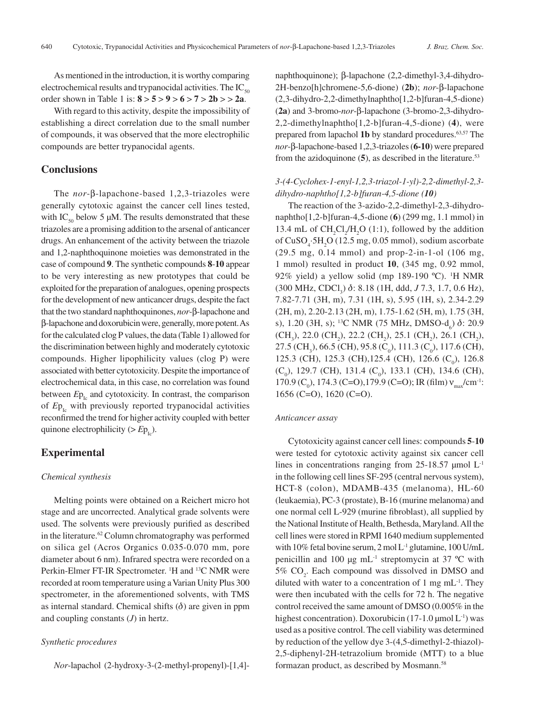As mentioned in the introduction, it is worthy comparing electrochemical results and trypanocidal activities. The  $IC_{\epsilon_0}$ order shown in Table 1 is: **8** > **5** > **9** > **6** > **7** > **2b** > > **2a**.

With regard to this activity, despite the impossibility of establishing a direct correlation due to the small number of compounds, it was observed that the more electrophilic compounds are better trypanocidal agents.

### **Conclusions**

The *nor*-β-lapachone-based 1,2,3-triazoles were generally cytotoxic against the cancer cell lines tested, with  $IC_{50}$  below 5 µM. The results demonstrated that these triazoles are a promising addition to the arsenal of anticancer drugs. An enhancement of the activity between the triazole and 1,2-naphthoquinone moieties was demonstrated in the case of compound **9**. The synthetic compounds **8**-**10** appear to be very interesting as new prototypes that could be exploited for the preparation of analogues, opening prospects for the development of new anticancer drugs, despite the fact that the two standard naphthoquinones, *nor*-β-lapachone and β-lapachone and doxorubicin were, generally, more potent. As for the calculated clog P values, the data (Table 1) allowed for the discrimination between highly and moderately cytotoxic compounds. Higher lipophilicity values (clog P) were associated with better cytotoxicity. Despite the importance of electrochemical data, in this case, no correlation was found between  $Ep_{1c}$  and cytotoxicity. In contrast, the comparison of  $Ep_{1c}$  with previously reported trypanocidal activities reconfirmed the trend for higher activity coupled with better quinone electrophilicity ( $>E_{P_{Ic}}$ ).

# **Experimental**

#### *Chemical synthesis*

Melting points were obtained on a Reichert micro hot stage and are uncorrected. Analytical grade solvents were used. The solvents were previously purified as described in the literature.<sup>62</sup> Column chromatography was performed on silica gel (Acros Organics 0.035-0.070 mm, pore diameter about 6 nm). Infrared spectra were recorded on a Perkin-Elmer FT-IR Spectrometer. <sup>1</sup>H and <sup>13</sup>C NMR were recorded at room temperature using a Varian Unity Plus 300 spectrometer, in the aforementioned solvents, with TMS as internal standard. Chemical shifts  $(\delta)$  are given in ppm and coupling constants (*J*) in hertz.

### *Synthetic procedures*

*Nor*-lapachol (2-hydroxy-3-(2-methyl-propenyl)-[1,4]-

naphthoquinone); β-lapachone (2,2-dimethyl-3,4-dihydro-2H-benzo[h]chromene-5,6-dione) (**2b**); *nor*-β-lapachone (2,3-dihydro-2,2-dimethylnaphtho[1,2-b]furan-4,5-dione) (**2a**) and 3-bromo-*nor*-β-lapachone (3-bromo-2,3-dihydro-2,2-dimethylnaphtho[1,2-b]furan-4,5-dione) (**4**), were prepared from lapachol 1b by standard procedures.<sup>63,57</sup> The *nor*-β-lapachone-based 1,2,3-triazoles (**6-10**) were prepared from the azidoquinone  $(5)$ , as described in the literature.<sup>53</sup>

# *3-(4-Cyclohex-1-enyl-1,2,3-triazol-1-yl)-2,2-dimethyl-2,3 dihydro-naphtho[1,2-b]furan-4,5-dione (10)*

The reaction of the 3-azido-2,2-dimethyl-2,3-dihydronaphtho[1,2-b]furan-4,5-dione (**6**) (299 mg, 1.1 mmol) in 13.4 mL of  $CH_2Cl_2/H_2O$  (1:1), followed by the addition of CuSO<sub>4</sub>:5H<sub>2</sub>O (12.5 mg, 0.05 mmol), sodium ascorbate (29.5 mg, 0.14 mmol) and prop-2-in-1-ol (106 mg, 1 mmol) resulted in product **10**, (345 mg, 0.92 mmol, 92% yield) a yellow solid (mp 189-190 °C). <sup>1</sup>H NMR (300 MHz, CDCl<sub>3</sub>) δ: 8.18 (1H, ddd, *J* 7.3, 1.7, 0.6 Hz), 7.82-7.71 (3H, m), 7.31 (1H, s), 5.95 (1H, s), 2.34-2.29 (2H, m), 2.20-2.13 (2H, m), 1.75-1.62 (5H, m), 1.75 (3H, s), 1.20 (3H, s); <sup>13</sup>C NMR (75 MHz, DMSO-d<sub>6</sub>) δ: 20.9  $(CH_3)$ , 22.0  $(CH_2)$ , 22.2  $(CH_2)$ , 25.1  $(CH_2)$ , 26.1  $(CH_2)$ , 27.5 (CH<sub>3</sub>), 66.5 (CH), 95.8 (C<sub>0</sub>), 111.3 (C<sub>0</sub>), 117.6 (CH), 125.3 (CH), 125.3 (CH), 125.4 (CH), 126.6 (C<sub>0</sub>), 126.8  $(C_0)$ , 129.7 (CH), 131.4  $(C_0)$ , 133.1 (CH), 134.6 (CH), 170.9 (C<sub>0</sub>), 174.3 (C=O), 179.9 (C=O); IR (film)  $v_{max}/cm^{-1}$ : 1656 (C=O), 1620 (C=O).

#### *Anticancer assay*

Cytotoxicity against cancer cell lines: compounds **5**-**10** were tested for cytotoxic activity against six cancer cell lines in concentrations ranging from  $25$ -18.57 µmol  $L<sup>-1</sup>$ in the following cell lines SF-295 (central nervous system), HCT-8 (colon), MDAMB-435 (melanoma), HL-60 (leukaemia), PC-3 (prostate), B-16 (murine melanoma) and one normal cell L-929 (murine fibroblast), all supplied by the National Institute of Health, Bethesda, Maryland. All the cell lines were stored in RPMI 1640 medium supplemented with 10% fetal bovine serum,  $2 \text{ mol } L^{-1}$  glutamine, 100 U/mL penicillin and 100  $\mu$ g mL<sup>-1</sup> streptomycin at 37 °C with  $5\%$  CO<sub>2</sub>. Each compound was dissolved in DMSO and diluted with water to a concentration of 1 mg  $mL^{-1}$ . They were then incubated with the cells for 72 h. The negative control received the same amount of DMSO (0.005% in the highest concentration). Doxorubicin (17-1.0  $\mu$ mol L<sup>-1</sup>) was used as a positive control. The cell viability was determined by reduction of the yellow dye 3-(4,5-dimethyl-2-thiazol)- 2,5-diphenyl-2H-tetrazolium bromide (MTT) to a blue formazan product, as described by Mosmann.<sup>58</sup>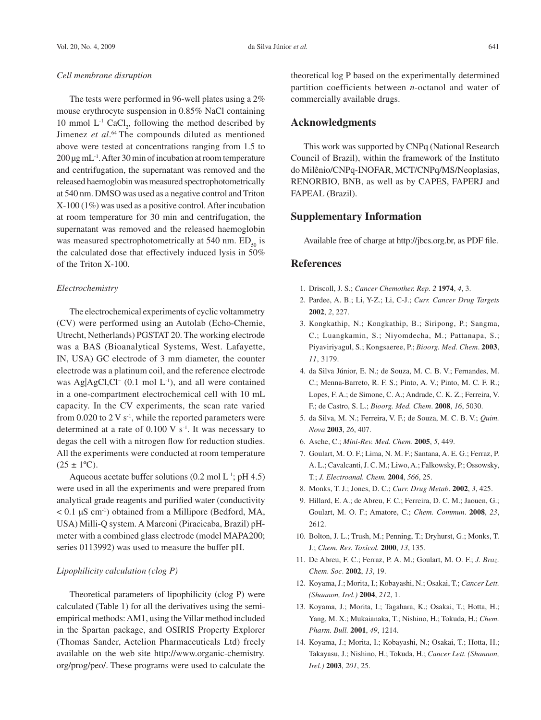#### *Cell membrane disruption*

The tests were performed in 96-well plates using a 2% mouse erythrocyte suspension in 0.85% NaCl containing 10 mmol  $L^{-1}$  CaCl<sub>2</sub>, following the method described by Jimenez *et al*. 64 The compounds diluted as mentioned above were tested at concentrations ranging from 1.5 to 200 µg mL-1. After 30 min of incubation at room temperature and centrifugation, the supernatant was removed and the released haemoglobin was measured spectrophotometrically at 540 nm. DMSO was used as a negative control and Triton X-100 (1%) was used as a positive control. After incubation at room temperature for 30 min and centrifugation, the supernatant was removed and the released haemoglobin was measured spectrophotometrically at 540 nm.  $ED<sub>50</sub>$  is the calculated dose that effectively induced lysis in 50% of the Triton X-100.

### *Electrochemistry*

The electrochemical experiments of cyclic voltammetry (CV) were performed using an Autolab (Echo-Chemie, Utrecht, Netherlands) PGSTAT 20. The working electrode was a BAS (Bioanalytical Systems, West. Lafayette, IN, USA) GC electrode of 3 mm diameter, the counter electrode was a platinum coil, and the reference electrode was Ag|AgCl,Cl<sup>−</sup> (0.1 mol L<sup>-1</sup>), and all were contained in a one-compartment electrochemical cell with 10 mL capacity. In the CV experiments, the scan rate varied from 0.020 to 2 V  $s^{-1}$ , while the reported parameters were determined at a rate of  $0.100 \text{ V s}^{-1}$ . It was necessary to degas the cell with a nitrogen flow for reduction studies. All the experiments were conducted at room temperature  $(25 \pm 1$ <sup>o</sup>C).

Aqueous acetate buffer solutions  $(0.2 \text{ mol L}^1; \text{pH } 4.5)$ were used in all the experiments and were prepared from analytical grade reagents and purified water (conductivity  $< 0.1 \mu S$  cm<sup>-1</sup>) obtained from a Millipore (Bedford, MA, USA) Milli-Q system. A Marconi (Piracicaba, Brazil) pHmeter with a combined glass electrode (model MAPA200; series 0113992) was used to measure the buffer pH.

### *Lipophilicity calculation (clog P)*

Theoretical parameters of lipophilicity (clog P) were calculated (Table 1) for all the derivatives using the semiempirical methods: AM1, using the Villar method included in the Spartan package, and OSIRIS Property Explorer (Thomas Sander, Actelion Pharmaceuticals Ltd) freely available on the web site http://www.organic-chemistry. org/prog/peo/. These programs were used to calculate the

theoretical log P based on the experimentally determined partition coefficients between *n*-octanol and water of commercially available drugs.

### **Acknowledgments**

This work was supported by CNPq (National Research Council of Brazil), within the framework of the Instituto do Milênio/CNPq-INOFAR, MCT/CNPq/MS/Neoplasias, RENORBIO, BNB, as well as by CAPES, FAPERJ and FAPEAL (Brazil).

# **Supplementary Information**

Available free of charge at http://jbcs.org.br, as PDF file.

### **References**

- 1. Driscoll, J. S.; *Cancer Chemother. Rep. 2* **1974**, *4*, 3.
- 2. Pardee, A. B.; Li, Y-Z.; Li, C-J.; *Curr. Cancer Drug Targets*  **2002**, *2*, 227.
- 3. Kongkathip, N.; Kongkathip, B.; Siripong, P.; Sangma, C.; Luangkamin, S.; Niyomdecha, M.; Pattanapa, S.; Piyaviriyagul, S.; Kongsaeree, P.; *Bioorg. Med. Chem*. **2003**, *11*, 3179.
- 4. da Silva Júnior, E. N.; de Souza, M. C. B. V.; Fernandes, M. C.; Menna-Barreto, R. F. S.; Pinto, A. V.; Pinto, M. C. F. R.; Lopes, F. A.; de Simone, C. A.; Andrade, C. K. Z.; Ferreira, V. F.; de Castro, S. L.; *Bioorg. Med. Chem*. **2008**, *16*, 5030.
- 5. da Silva, M. N.; Ferreira, V. F.; de Souza, M. C. B. V.; *Quim. Nova* **2003**, *26*, 407.
- 6. Asche, C.; *Mini-Rev. Med. Chem.* **2005**, *5*, 449.
- 7. Goulart, M. O. F.; Lima, N. M. F.; Santana, A. E. G.; Ferraz, P. A. L.; Cavalcanti, J. C. M.; Liwo, A.; Falkowsky, P.; Ossowsky, T.; *J. Electroanal. Chem.* **2004**, *566*, 25.
- 8. Monks, T. J.; Jones, D. C.; *Curr. Drug Metab*. **2002**, *3*, 425.
- 9. Hillard, E. A.; de Abreu, F. C.; Ferreira, D. C. M.; Jaouen, G.; Goulart, M. O. F.; Amatore, C.; *Chem. Commun*. **2008**, *23*, 2612.
- 10. Bolton, J. L.; Trush, M.; Penning, T.; Dryhurst, G.; Monks, T. J.; *Chem. Res. Toxicol.* **2000**, *13*, 135.
- 11. De Abreu, F. C.; Ferraz, P. A. M.; Goulart, M. O. F.; *J. Braz. Chem*. *Soc*. **2002**, *13*, 19.
- 12. Koyama, J.; Morita, I.; Kobayashi, N.; Osakai, T.; *Cancer Lett. (Shannon, Irel.)* **2004**, *212*, 1.
- 13. Koyama, J.; Morita, I.; Tagahara, K.; Osakai, T.; Hotta, H.; Yang, M. X.; Mukaianaka, T.; Nishino, H.; Tokuda, H.; *Chem. Pharm. Bull.* **2001**, *49*, 1214.
- 14. Koyama, J.; Morita, I.; Kobayashi, N.; Osakai, T.; Hotta, H.; Takayasu, J.; Nishino, H.; Tokuda, H.; *Cancer Lett. (Shannon, Irel.)* **2003**, *201*, 25.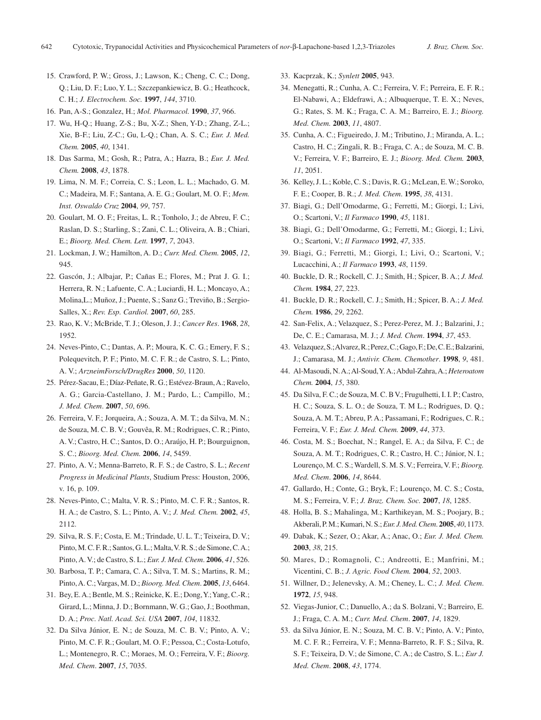- 15. Crawford, P. W.; Gross, J.; Lawson, K.; Cheng, C. C.; Dong, Q.; Liu, D. F.; Luo, Y. L.; Szczepankiewicz, B. G.; Heathcock, C. H.; *J. Electrochem. Soc.* **1997**, *144*, 3710.
- 16. Pan, A-S.; Gonzalez, H.; *Mol. Pharmacol.* **1990**, *37*, 966.
- 17. Wu, H-Q.; Huang, Z-S.; Bu, X-Z.; Shen, Y-D.; Zhang, Z-L.; Xie, B-F.; Liu, Z-C.; Gu, L-Q.; Chan, A. S. C.; *Eur. J. Med. Chem.* **2005**, *40*, 1341.
- 18. Das Sarma, M.; Gosh, R.; Patra, A.; Hazra, B.; *Eur. J. Med. Chem.* **2008**, *43*, 1878.
- 19. Lima, N. M. F.; Correia, C. S.; Leon, L. L.; Machado, G. M. C.; Madeira, M. F.; Santana, A. E. G.; Goulart, M. O. F.; *Mem. Inst. Oswaldo Cruz* **2004**, *99*, 757.
- 20. Goulart, M. O. F.; Freitas, L. R.; Tonholo, J.; de Abreu, F. C.; Raslan, D. S.; Starling, S.; Zani, C. L.; Oliveira, A. B.; Chiari, E.; *Bioorg. Med. Chem. Lett.* **1997**, *7*, 2043.
- 21. Lockman, J. W.; Hamilton, A. D.; *Curr. Med. Chem.* **2005**, *12*, 945.
- 22. Gascón, J.; Albajar, P.; Cañas E.; Flores, M.; Prat J. G. I.; Herrera, R. N.; Lafuente, C. A.; Luciardi, H. L.; Moncayo, A.; Molina,L.; Muñoz, J.; Puente, S.; Sanz G.; Treviño, B.; Sergio-Salles, X.; *Rev. Esp. Cardiol.* **2007**, *60*, 285.
- 23. Rao, K. V.; McBride, T. J.; Oleson, J. J.; *Cancer Res*. **1968**, *28*, 1952.
- 24. Neves-Pinto, C.; Dantas, A. P.; Moura, K. C. G.; Emery, F. S.; Polequevitch, P. F.; Pinto, M. C. F. R.; de Castro, S. L.; Pinto, A. V.; *ArzneimForsch/DrugRes* **2000**, *50*, 1120.
- 25. Pérez-Sacau, E.; Díaz-Peñate, R. G.; Estévez-Braun, A.; Ravelo, A. G.; Garcia-Castellano, J. M.; Pardo, L.; Campillo, M.; *J. Med. Chem*. **2007**, *50*, 696.
- 26. Ferreira, V. F.; Jorqueira, A.; Souza, A. M. T.; da Silva, M. N.; de Souza, M. C. B. V.; Gouvêa, R. M.; Rodrigues, C. R.; Pinto, A. V.; Castro, H. C.; Santos, D. O.; Araújo, H. P.; Bourguignon, S. C.; *Bioorg. Med. Chem.* **2006**, *14*, 5459.
- 27. Pinto, A. V.; Menna-Barreto, R. F. S.; de Castro, S. L.; *Recent Progress in Medicinal Plants*, Studium Press: Houston, 2006, v. 16, p. 109.
- 28. Neves-Pinto, C.; Malta, V. R. S.; Pinto, M. C. F. R.; Santos, R. H. A.; de Castro, S. L.; Pinto, A. V.; *J. Med. Chem.* **2002**, *45*, 2112.
- 29. Silva, R. S. F.; Costa, E. M.; Trindade, U. L. T.; Teixeira, D. V.; Pinto, M. C. F. R.; Santos, G. L.; Malta, V. R. S.; de Simone, C. A.; Pinto, A. V.; de Castro, S. L.; *Eur. J. Med. Chem*. **2006**, *41*, 526.
- 30. Barbosa, T. P.; Camara, C. A.; Silva, T. M. S.; Martins, R. M.; Pinto, A. C.; Vargas, M. D.; *Bioorg. Med. Chem*. **2005**, *13*, 6464.
- 31. Bey, E. A.; Bentle, M. S.; Reinicke, K. E.; Dong, Y.; Yang, C.-R.; Girard, L.; Minna, J. D.; Bornmann, W. G.; Gao, J.; Boothman, D. A.; *Proc. Natl. Acad. Sci. USA* **2007**, *104*, 11832.
- 32. Da Silva Júnior, E. N.; de Souza, M. C. B. V.; Pinto, A. V.; Pinto, M. C. F. R.; Goulart, M. O. F.; Pessoa, C.; Costa-Lotufo, L.; Montenegro, R. C.; Moraes, M. O.; Ferreira, V. F.; *Bioorg. Med. Chem*. **2007**, *15*, 7035.
- 33. Kacprzak, K.; *Synlett* **2005**, 943.
- 34. Menegatti, R.; Cunha, A. C.; Ferreira, V. F.; Perreira, E. F. R.; El-Nabawi, A.; Eldefrawi, A.; Albuquerque, T. E. X.; Neves, G.; Rates, S. M. K.; Fraga, C. A. M.; Barreiro, E. J.; *Bioorg. Med. Chem.* **2003**, *11*, 4807.
- 35. Cunha, A. C.; Figueiredo, J. M.; Tributino, J.; Miranda, A. L.; Castro, H. C.; Zingali, R. B.; Fraga, C. A.; de Souza, M. C. B. V.; Ferreira, V. F.; Barreiro, E. J.; *Bioorg. Med. Chem.* **2003**, *11*, 2051.
- 36. Kelley, J. L.; Koble, C. S.; Davis, R. G.; McLean, E. W.; Soroko, F. E.; Cooper, B. R.; *J. Med. Chem*. **1995**, *38*, 4131.
- 37. Biagi, G.; Dell'Omodarme, G.; Ferretti, M.; Giorgi, I.; Livi, O.; Scartoni, V.; *Il Farmaco* **1990**, *45*, 1181.
- 38. Biagi, G.; Dell'Omodarme, G.; Ferretti, M.; Giorgi, I.; Livi, O.; Scartoni, V.; *Il Farmaco* **1992**, *47*, 335.
- 39. Biagi, G.; Ferretti, M.; Giorgi, I.; Livi, O.; Scartoni, V.; Lucacchini, A.; *Il Farmaco* **1993**, *48*, 1159.
- 40. Buckle, D. R.; Rockell, C. J.; Smith, H.; Spicer, B. A.; *J. Med. Chem.* **1984**, *27*, 223.
- 41. Buckle, D. R.; Rockell, C. J.; Smith, H.; Spicer, B. A.; *J. Med. Chem.* **1986**, *29*, 2262.
- 42. San-Felix, A.; Velazquez, S.; Perez-Perez, M. J.; Balzarini, J.; De, C. E.; Camarasa, M. J.; *J. Med. Chem*. **1994**, *37*, 453.
- 43. Velazquez, S.; Alvarez, R.; Perez, C.; Gago, F.; De, C. E.; Balzarini, J.; Camarasa, M. J.; *Antivir. Chem. Chemother*. **1998**, *9*, 481.
- 44. Al-Masoudi, N. A.; Al-Soud, Y. A.; Abdul-Zahra, A.; *Heteroatom Chem.* **2004**, *15*, 380.
- 45. Da Silva, F. C.; de Souza, M. C. B V.; Frugulhetti, I. I. P.; Castro, H. C.; Souza, S. L. O.; de Souza, T. M L.; Rodrigues, D. Q.; Souza, A. M. T.; Abreu, P. A.; Passamani, F.; Rodrigues, C. R.; Ferreira, V. F.; *Eur. J. Med. Chem.* **2009**, *44*, 373.
- 46. Costa, M. S.; Boechat, N.; Rangel, E. A.; da Silva, F. C.; de Souza, A. M. T.; Rodrigues, C. R.; Castro, H. C.; Júnior, N. I.; Lourenço, M. C. S.; Wardell, S. M. S. V.; Ferreira, V. F.; *Bioorg. Med. Chem*. **2006**, *14*, 8644.
- 47. Gallardo, H.; Conte, G.; Bryk, F.; Lourenço, M. C. S.; Costa, M. S.; Ferreira, V. F.; *J. Braz. Chem. Soc.* **2007**, *18*, 1285.
- 48. Holla, B. S.; Mahalinga, M.; Karthikeyan, M. S.; Poojary, B.; Akberali, P. M.; Kumari, N. S.; *Eur. J. Med. Chem*. **2005**, *40*, 1173.
- 49. Dabak, K.; Sezer, O.; Akar, A.; Anac, O.; *Eur. J. Med. Chem.*  **2003**, *38*, 215.
- 50. Mares, D.; Romagnoli, C.; Andreotti, E.; Manfrini, M.; Vicentini, C. B.; *J. Agric. Food Chem.* **2004**, *52*, 2003.
- 51. Willner, D.; Jelenevsky, A. M.; Cheney, L. C.; *J. Med. Chem*. **1972**, *15*, 948.
- 52. Viegas-Junior, C.; Danuello, A.; da S. Bolzani, V.; Barreiro, E. J.; Fraga, C. A. M.; *Curr. Med. Chem*. **2007**, *14*, 1829.
- 53. da Silva Júnior, E. N.; Souza, M. C. B. V.; Pinto, A. V.; Pinto, M. C. F. R.; Ferreira, V. F.; Menna-Barreto, R. F. S.; Silva, R. S. F.; Teixeira, D. V.; de Simone, C. A.; de Castro, S. L.; *Eur J. Med. Chem*. **2008**, *43*, 1774.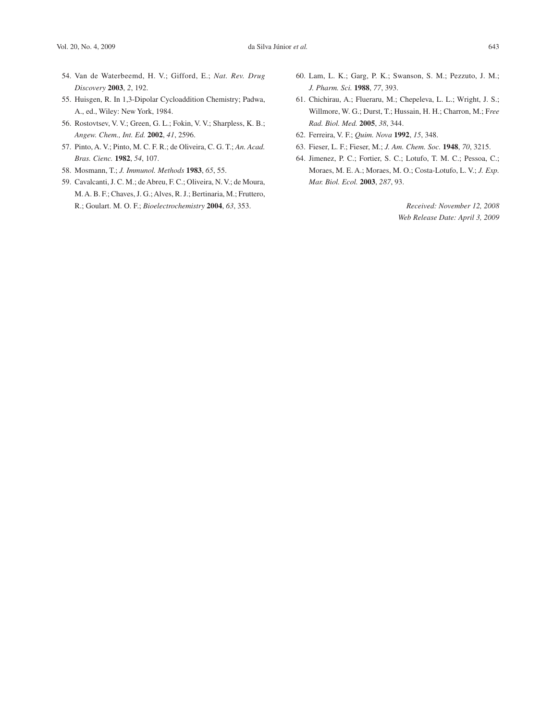- 54. Van de Waterbeemd, H. V.; Gifford, E.; *Nat. Rev. Drug Discovery* **2003**, *2*, 192.
- 55. Huisgen, R. In 1,3-Dipolar Cycloaddition Chemistry; Padwa, A., ed., Wiley: New York, 1984.
- 56. Rostovtsev, V. V.; Green, G. L.; Fokin, V. V.; Sharpless, K. B.; *Angew. Chem., Int. Ed.* **2002**, *41*, 2596.
- 57. Pinto, A. V.; Pinto, M. C. F. R.; de Oliveira, C. G. T.; *An. Acad. Bras. Cienc.* **1982**, *54*, 107.
- 58. Mosmann, T.; *J. Immunol. Methods* **1983**, *65*, 55.
- 59. Cavalcanti, J. C. M.; de Abreu, F. C.; Oliveira, N. V.; de Moura, M. A. B. F.; Chaves, J. G.; Alves, R. J.; Bertinaria, M.; Fruttero, R.; Goulart. M. O. F.; *Bioelectrochemistry* **2004**, *63*, 353.
- 60. Lam, L. K.; Garg, P. K.; Swanson, S. M.; Pezzuto, J. M.; *J. Pharm. Sci.* **1988**, *77*, 393.
- 61. Chichirau, A.; Flueraru, M.; Chepeleva, L. L.; Wright, J. S.; Willmore, W. G.; Durst, T.; Hussain, H. H.; Charron, M.; F*ree Rad. Biol. Med.* **2005**, *38*, 344.
- 62. Ferreira, V. F.; *Quim. Nova* **1992**, *15*, 348.
- 63. Fieser, L. F.; Fieser, M.; *J. Am. Chem. Soc.* **1948**, *70*, 3215.
- 64. Jimenez, P. C.; Fortier, S. C.; Lotufo, T. M. C.; Pessoa, C.; Moraes, M. E. A.; Moraes, M. O.; Costa-Lotufo, L. V.; *J. Exp. Mar. Biol. Ecol.* **2003**, *287*, 93.

*Received: November 12, 2008 Web Release Date: April 3, 2009*